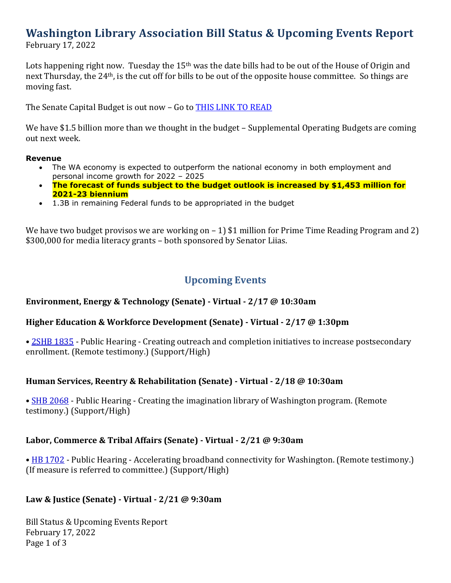# **Washington Library Association Bill Status & Upcoming Events Report**

February 17, 2022

Lots happening right now. Tuesday the 15<sup>th</sup> was the date bills had to be out of the House of Origin and next Thursday, the 24th, is the cut off for bills to be out of the opposite house committee. So things are moving fast.

The Senate Capital Budget is out now – Go to [THIS LINK TO READ](http://leap.leg.wa.gov/leap/budget/detail/2022/sc2022Supp.asp)

We have \$1.5 billion more than we thought in the budget – Supplemental Operating Budgets are coming out next week.

#### **Revenue**

- The WA economy is expected to outperform the national economy in both employment and personal income growth for 2022 – 2025
- **The forecast of funds subject to the budget outlook is increased by \$1,453 million for 2021-23 biennium**
- 1.3B in remaining Federal funds to be appropriated in the budget

We have two budget provisos we are working on – 1) \$1 million for Prime Time Reading Program and 2) \$300,000 for media literacy grants – both sponsored by Senator Liias.

# **Upcoming Events**

#### **Environment, Energy & Technology (Senate) - Virtual - 2/17 @ 10:30am**

#### **Higher Education & Workforce Development (Senate) - Virtual - 2/17 @ 1:30pm**

• [2SHB 1835](https://app.leg.wa.gov/billsummary?Year=2021&BillNumber=1835) - Public Hearing - Creating outreach and completion initiatives to increase postsecondary enrollment. (Remote testimony.) (Support/High)

#### **Human Services, Reentry & Rehabilitation (Senate) - Virtual - 2/18 @ 10:30am**

• **[SHB 2068](https://app.leg.wa.gov/billsummary?Year=2021&BillNumber=2068)** - Public Hearing - Creating the imagination library of Washington program. (Remote testimony.) (Support/High)

#### **Labor, Commerce & Tribal Affairs (Senate) - Virtual - 2/21 @ 9:30am**

• [HB 1702](https://app.leg.wa.gov/billsummary?Year=2021&BillNumber=1702) - Public Hearing - Accelerating broadband connectivity for Washington. (Remote testimony.) (If measure is referred to committee.) (Support/High)

#### **Law & Justice (Senate) - Virtual - 2/21 @ 9:30am**

Bill Status & Upcoming Events Report February 17, 2022 Page 1 of 3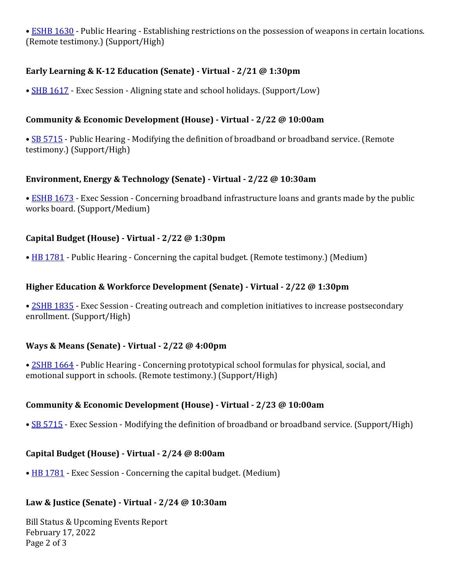• [ESHB 1630](https://app.leg.wa.gov/billsummary?Year=2021&BillNumber=1630) - Public Hearing - Establishing restrictions on the possession of weapons in certain locations. (Remote testimony.) (Support/High)

## **Early Learning & K-12 Education (Senate) - Virtual - 2/21 @ 1:30pm**

• [SHB 1617](https://app.leg.wa.gov/billsummary?Year=2021&BillNumber=1617) - Exec Session - Aligning state and school holidays. (Support/Low)

## **Community & Economic Development (House) - Virtual - 2/22 @ 10:00am**

• [SB 5715](https://app.leg.wa.gov/billsummary?Year=2021&BillNumber=5715) - Public Hearing - Modifying the definition of broadband or broadband service. (Remote testimony.) (Support/High)

#### **Environment, Energy & Technology (Senate) - Virtual - 2/22 @ 10:30am**

• [ESHB 1673](https://app.leg.wa.gov/billsummary?Year=2021&BillNumber=1673) - Exec Session - Concerning broadband infrastructure loans and grants made by the public works board. (Support/Medium)

## **Capital Budget (House) - Virtual - 2/22 @ 1:30pm**

• [HB 1781](https://app.leg.wa.gov/billsummary?Year=2021&BillNumber=1781) - Public Hearing - Concerning the capital budget. (Remote testimony.) (Medium)

## **Higher Education & Workforce Development (Senate) - Virtual - 2/22 @ 1:30pm**

• [2SHB 1835](https://app.leg.wa.gov/billsummary?Year=2021&BillNumber=1835) - Exec Session - Creating outreach and completion initiatives to increase postsecondary enrollment. (Support/High)

#### **Ways & Means (Senate) - Virtual - 2/22 @ 4:00pm**

• [2SHB 1664](https://app.leg.wa.gov/billsummary?Year=2021&BillNumber=1664) - Public Hearing - Concerning prototypical school formulas for physical, social, and emotional support in schools. (Remote testimony.) (Support/High)

# **Community & Economic Development (House) - Virtual - 2/23 @ 10:00am**

• [SB 5715](https://app.leg.wa.gov/billsummary?Year=2021&BillNumber=5715) - Exec Session - Modifying the definition of broadband or broadband service. (Support/High)

#### **Capital Budget (House) - Virtual - 2/24 @ 8:00am**

• [HB 1781](https://app.leg.wa.gov/billsummary?Year=2021&BillNumber=1781) - Exec Session - Concerning the capital budget. (Medium)

#### **Law & Justice (Senate) - Virtual - 2/24 @ 10:30am**

Bill Status & Upcoming Events Report February 17, 2022 Page 2 of 3